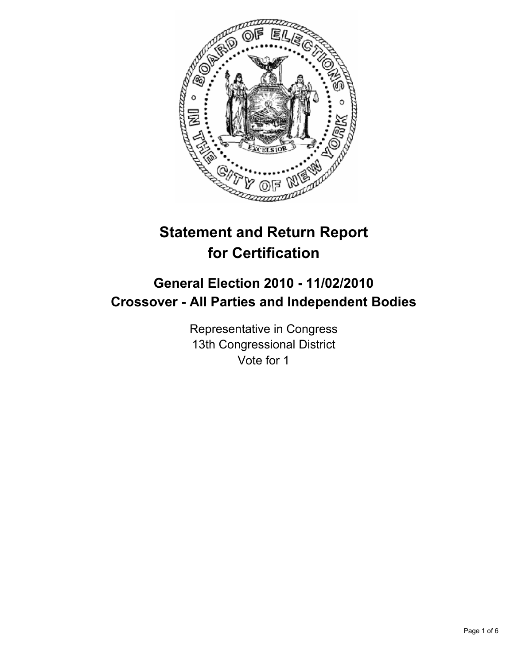

# **Statement and Return Report for Certification**

## **General Election 2010 - 11/02/2010 Crossover - All Parties and Independent Bodies**

Representative in Congress 13th Congressional District Vote for 1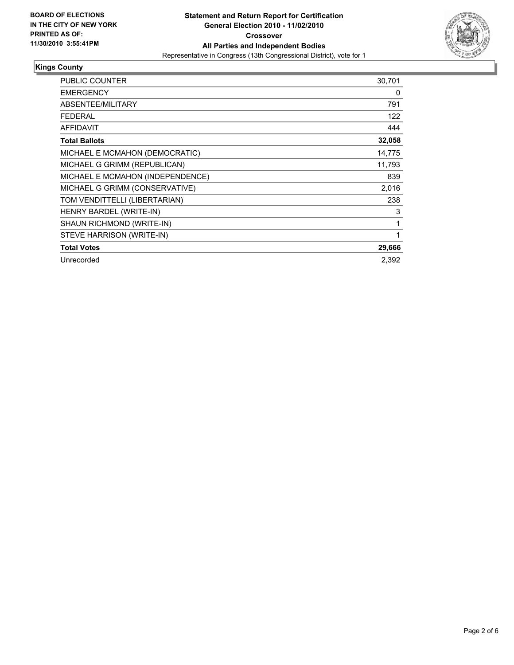

### **Kings County**

| <b>PUBLIC COUNTER</b>            | 30,701 |
|----------------------------------|--------|
| <b>EMERGENCY</b>                 | 0      |
| ABSENTEE/MILITARY                | 791    |
| <b>FEDERAL</b>                   | 122    |
| <b>AFFIDAVIT</b>                 | 444    |
| <b>Total Ballots</b>             | 32,058 |
| MICHAEL E MCMAHON (DEMOCRATIC)   | 14,775 |
| MICHAEL G GRIMM (REPUBLICAN)     | 11,793 |
| MICHAEL E MCMAHON (INDEPENDENCE) | 839    |
| MICHAEL G GRIMM (CONSERVATIVE)   | 2,016  |
| TOM VENDITTELLI (LIBERTARIAN)    | 238    |
| <b>HENRY BARDEL (WRITE-IN)</b>   | 3      |
| SHAUN RICHMOND (WRITE-IN)        | 1      |
| STEVE HARRISON (WRITE-IN)        | 1      |
| <b>Total Votes</b>               | 29,666 |
| Unrecorded                       | 2.392  |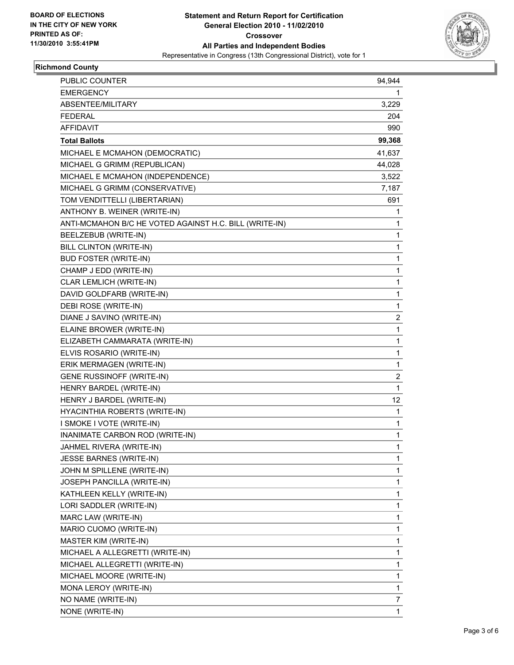

## **Richmond County**

| <b>PUBLIC COUNTER</b>                                  | 94,944                  |
|--------------------------------------------------------|-------------------------|
| <b>EMERGENCY</b>                                       | 1                       |
| ABSENTEE/MILITARY                                      | 3,229                   |
| <b>FEDERAL</b>                                         | 204                     |
| <b>AFFIDAVIT</b>                                       | 990                     |
| <b>Total Ballots</b>                                   | 99,368                  |
| MICHAEL E MCMAHON (DEMOCRATIC)                         | 41,637                  |
| MICHAEL G GRIMM (REPUBLICAN)                           | 44,028                  |
| MICHAEL E MCMAHON (INDEPENDENCE)                       | 3,522                   |
| MICHAEL G GRIMM (CONSERVATIVE)                         | 7,187                   |
| TOM VENDITTELLI (LIBERTARIAN)                          | 691                     |
| ANTHONY B. WEINER (WRITE-IN)                           | 1                       |
| ANTI-MCMAHON B/C HE VOTED AGAINST H.C. BILL (WRITE-IN) | 1                       |
| BEELZEBUB (WRITE-IN)                                   | 1                       |
| BILL CLINTON (WRITE-IN)                                | 1                       |
| <b>BUD FOSTER (WRITE-IN)</b>                           | 1                       |
| CHAMP J EDD (WRITE-IN)                                 | 1                       |
| CLAR LEMLICH (WRITE-IN)                                | 1                       |
| DAVID GOLDFARB (WRITE-IN)                              | 1                       |
| DEBI ROSE (WRITE-IN)                                   | 1                       |
| DIANE J SAVINO (WRITE-IN)                              | $\overline{\mathbf{c}}$ |
| ELAINE BROWER (WRITE-IN)                               | 1                       |
| ELIZABETH CAMMARATA (WRITE-IN)                         | 1                       |
| ELVIS ROSARIO (WRITE-IN)                               | 1                       |
| ERIK MERMAGEN (WRITE-IN)                               | 1                       |
| <b>GENE RUSSINOFF (WRITE-IN)</b>                       | 2                       |
| HENRY BARDEL (WRITE-IN)                                | $\mathbf{1}$            |
| HENRY J BARDEL (WRITE-IN)                              | 12                      |
| HYACINTHIA ROBERTS (WRITE-IN)                          | 1                       |
| I SMOKE I VOTE (WRITE-IN)                              | 1                       |
| INANIMATE CARBON ROD (WRITE-IN)                        | 1                       |
| JAHMEL RIVERA (WRITE-IN)                               | 1                       |
| <b>JESSE BARNES (WRITE-IN)</b>                         | 1                       |
| JOHN M SPILLENE (WRITE-IN)                             | 1                       |
| JOSEPH PANCILLA (WRITE-IN)                             | 1                       |
| KATHLEEN KELLY (WRITE-IN)                              | 1                       |
| LORI SADDLER (WRITE-IN)                                | 1                       |
| MARC LAW (WRITE-IN)                                    | 1                       |
| MARIO CUOMO (WRITE-IN)                                 | 1                       |
| MASTER KIM (WRITE-IN)                                  | 1                       |
| MICHAEL A ALLEGRETTI (WRITE-IN)                        | 1                       |
| MICHAEL ALLEGRETTI (WRITE-IN)                          | 1                       |
| MICHAEL MOORE (WRITE-IN)                               | 1                       |
| MONA LEROY (WRITE-IN)                                  | 1                       |
| NO NAME (WRITE-IN)                                     | 7                       |
| NONE (WRITE-IN)                                        | $\mathbf{1}$            |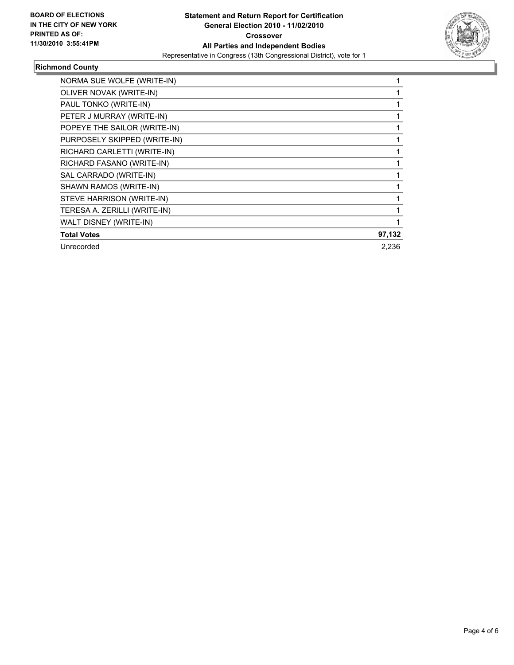

## **Richmond County**

| NORMA SUE WOLFE (WRITE-IN)   |        |
|------------------------------|--------|
| OLIVER NOVAK (WRITE-IN)      |        |
| PAUL TONKO (WRITE-IN)        |        |
| PETER J MURRAY (WRITE-IN)    |        |
| POPEYE THE SAILOR (WRITE-IN) |        |
| PURPOSELY SKIPPED (WRITE-IN) |        |
| RICHARD CARLETTI (WRITE-IN)  |        |
| RICHARD FASANO (WRITE-IN)    |        |
| SAL CARRADO (WRITE-IN)       |        |
| SHAWN RAMOS (WRITE-IN)       |        |
| STEVE HARRISON (WRITE-IN)    |        |
| TERESA A. ZERILLI (WRITE-IN) |        |
| WALT DISNEY (WRITE-IN)       |        |
| <b>Total Votes</b>           | 97,132 |
| Unrecorded                   | 2,236  |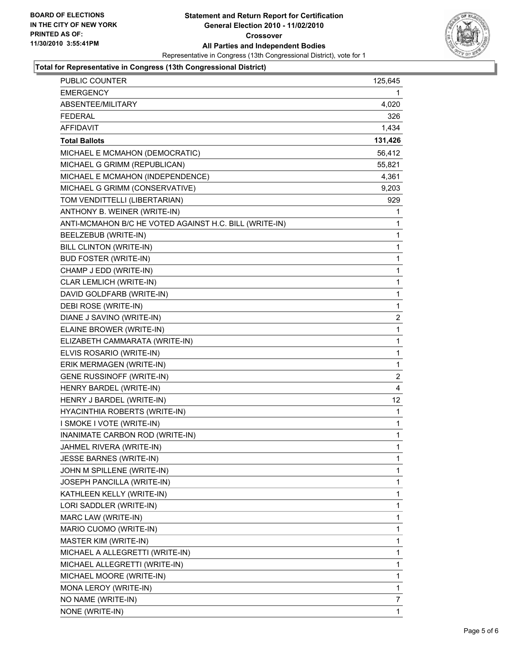

#### **Total for Representative in Congress (13th Congressional District)**

| <b>PUBLIC COUNTER</b>                                  | 125,645      |
|--------------------------------------------------------|--------------|
| <b>EMERGENCY</b>                                       | 1.           |
| ABSENTEE/MILITARY                                      | 4,020        |
| <b>FEDERAL</b>                                         | 326          |
| <b>AFFIDAVIT</b>                                       | 1,434        |
| <b>Total Ballots</b>                                   | 131,426      |
| MICHAEL E MCMAHON (DEMOCRATIC)                         | 56,412       |
| MICHAEL G GRIMM (REPUBLICAN)                           | 55,821       |
| MICHAEL E MCMAHON (INDEPENDENCE)                       | 4,361        |
| MICHAEL G GRIMM (CONSERVATIVE)                         | 9,203        |
| TOM VENDITTELLI (LIBERTARIAN)                          | 929          |
| ANTHONY B. WEINER (WRITE-IN)                           | 1            |
| ANTI-MCMAHON B/C HE VOTED AGAINST H.C. BILL (WRITE-IN) | 1            |
| BEELZEBUB (WRITE-IN)                                   | 1            |
| BILL CLINTON (WRITE-IN)                                | $\mathbf{1}$ |
| <b>BUD FOSTER (WRITE-IN)</b>                           | 1            |
| CHAMP J EDD (WRITE-IN)                                 | 1            |
| CLAR LEMLICH (WRITE-IN)                                | $\mathbf{1}$ |
| DAVID GOLDFARB (WRITE-IN)                              | 1            |
| DEBI ROSE (WRITE-IN)                                   | 1            |
| DIANE J SAVINO (WRITE-IN)                              | 2            |
| ELAINE BROWER (WRITE-IN)                               | 1            |
| ELIZABETH CAMMARATA (WRITE-IN)                         | 1            |
| ELVIS ROSARIO (WRITE-IN)                               | 1            |
| ERIK MERMAGEN (WRITE-IN)                               | 1            |
| <b>GENE RUSSINOFF (WRITE-IN)</b>                       | 2            |
| HENRY BARDEL (WRITE-IN)                                | 4            |
| HENRY J BARDEL (WRITE-IN)                              | 12           |
| HYACINTHIA ROBERTS (WRITE-IN)                          | 1            |
| I SMOKE I VOTE (WRITE-IN)                              | $\mathbf{1}$ |
| INANIMATE CARBON ROD (WRITE-IN)                        | 1            |
| JAHMEL RIVERA (WRITE-IN)                               | 1            |
| <b>JESSE BARNES (WRITE-IN)</b>                         | 1            |
| JOHN M SPILLENE (WRITE-IN)                             | 1            |
| JOSEPH PANCILLA (WRITE-IN)                             | 1            |
| KATHLEEN KELLY (WRITE-IN)                              | 1            |
| LORI SADDLER (WRITE-IN)                                | 1            |
| MARC LAW (WRITE-IN)                                    | 1            |
| MARIO CUOMO (WRITE-IN)                                 | 1            |
| MASTER KIM (WRITE-IN)                                  | 1            |
| MICHAEL A ALLEGRETTI (WRITE-IN)                        | 1            |
| MICHAEL ALLEGRETTI (WRITE-IN)                          | $\mathbf{1}$ |
| MICHAEL MOORE (WRITE-IN)                               | 1            |
| MONA LEROY (WRITE-IN)                                  | 1            |
| NO NAME (WRITE-IN)                                     | 7            |
| NONE (WRITE-IN)                                        | 1            |
|                                                        |              |